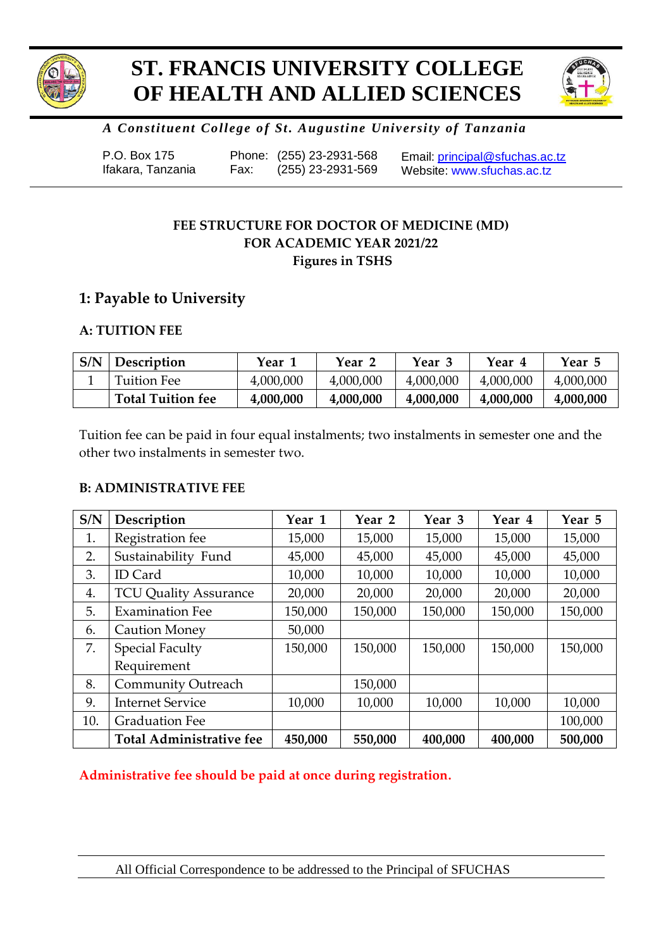

# **ST. FRANCIS UNIVERSITY COLLEGE OF HEALTH AND ALLIED SCIENCES**



# *A Constituent College of St. Augustine University of Tanzania*

| P.O. Box 175      |      | Phone: (255) 23-2931-568 | Email: principal@sfuchas.ac.tz |
|-------------------|------|--------------------------|--------------------------------|
| Ifakara, Tanzania | Fax: | (255) 23-2931-569        | Website: www.sfuchas.ac.tz     |

# **FEE STRUCTURE FOR DOCTOR OF MEDICINE (MD) FOR ACADEMIC YEAR 2021/22 Figures in TSHS**

# **1: Payable to University**

# **A: TUITION FEE**

| S/N | <b>Description</b>       | Year 1    | Year 2    | Year 3    | Year 4    | Year 5    |
|-----|--------------------------|-----------|-----------|-----------|-----------|-----------|
|     | Tuition Fee              | 4,000,000 | 4,000,000 | 4,000,000 | 4,000,000 | 4,000,000 |
|     | <b>Total Tuition fee</b> | 4,000,000 | 4,000,000 | 4,000,000 | 4,000,000 | 4,000,000 |

Tuition fee can be paid in four equal instalments; two instalments in semester one and the other two instalments in semester two.

# **B: ADMINISTRATIVE FEE**

| S/N | Description                     | Year 1  | Year 2  | Year 3  | Year 4  | Year 5  |
|-----|---------------------------------|---------|---------|---------|---------|---------|
| 1.  | Registration fee                | 15,000  | 15,000  | 15,000  | 15,000  | 15,000  |
| 2.  | Sustainability Fund             | 45,000  | 45,000  | 45,000  | 45,000  | 45,000  |
| 3.  | <b>ID</b> Card                  | 10,000  | 10,000  | 10,000  | 10,000  | 10,000  |
| 4.  | <b>TCU Quality Assurance</b>    | 20,000  | 20,000  | 20,000  | 20,000  | 20,000  |
| 5.  | <b>Examination Fee</b>          | 150,000 | 150,000 | 150,000 | 150,000 | 150,000 |
| 6.  | <b>Caution Money</b>            | 50,000  |         |         |         |         |
| 7.  | <b>Special Faculty</b>          | 150,000 | 150,000 | 150,000 | 150,000 | 150,000 |
|     | Requirement                     |         |         |         |         |         |
| 8.  | <b>Community Outreach</b>       |         | 150,000 |         |         |         |
| 9.  | <b>Internet Service</b>         | 10,000  | 10,000  | 10,000  | 10,000  | 10,000  |
| 10. | <b>Graduation Fee</b>           |         |         |         |         | 100,000 |
|     | <b>Total Administrative fee</b> | 450,000 | 550,000 | 400,000 | 400,000 | 500,000 |

**Administrative fee should be paid at once during registration.**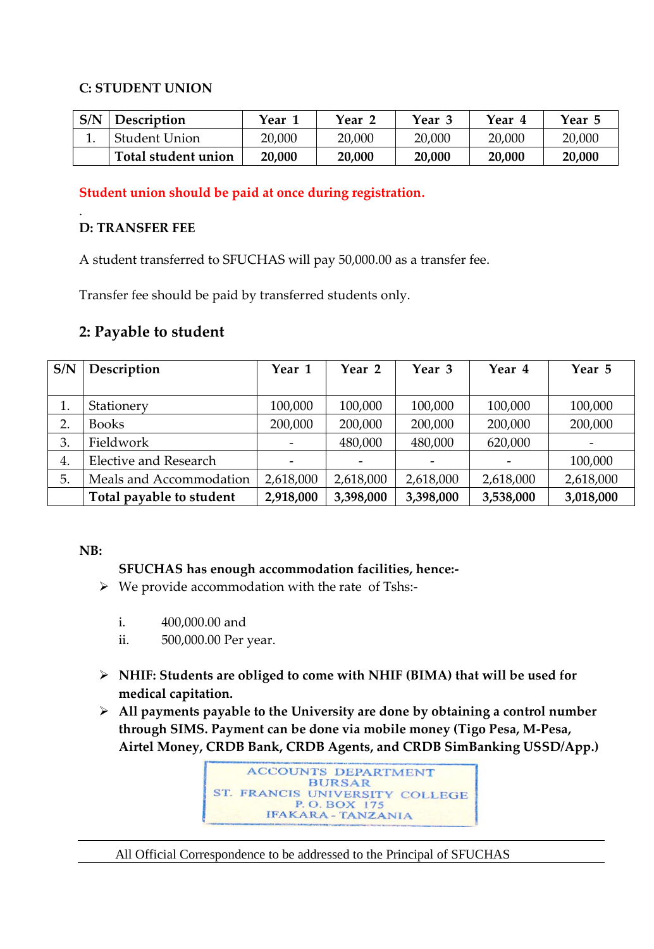### **C: STUDENT UNION**

| S/N | Description         | Year 1 | Year   | Year 3 | Year 4 | Year 5 |
|-----|---------------------|--------|--------|--------|--------|--------|
| ⊥.  | Student Union       | 20,000 | 20,000 | 20,000 | 20,000 | 20,000 |
|     | Total student union | 20,000 | 20,000 | 20,000 | 20,000 | 20,000 |

### **Student union should be paid at once during registration.**

### **D: TRANSFER FEE**

.

A student transferred to SFUCHAS will pay 50,000.00 as a transfer fee.

Transfer fee should be paid by transferred students only.

# **2: Payable to student**

| S/N | Description              | Year 1    | Year 2    | Year 3    | Year 4    | Year 5    |
|-----|--------------------------|-----------|-----------|-----------|-----------|-----------|
|     |                          |           |           |           |           |           |
| 1.  | Stationery               | 100,000   | 100,000   | 100,000   | 100,000   | 100,000   |
| 2.  | <b>Books</b>             | 200,000   | 200,000   | 200,000   | 200,000   | 200,000   |
| 3.  | Fieldwork                |           | 480,000   | 480,000   | 620,000   |           |
| 4.  | Elective and Research    |           |           |           |           | 100,000   |
| 5.  | Meals and Accommodation  | 2,618,000 | 2,618,000 | 2,618,000 | 2,618,000 | 2,618,000 |
|     | Total payable to student | 2,918,000 | 3,398,000 | 3,398,000 | 3,538,000 | 3,018,000 |

### **NB:**

# **SFUCHAS has enough accommodation facilities, hence:-**

- $\triangleright$  We provide accommodation with the rate of Tshs:
	- i. 400,000.00 and
	- ii. 500,000.00 Per year.
- **NHIF: Students are obliged to come with NHIF (BIMA) that will be used for medical capitation.**
- **All payments payable to the University are done by obtaining a control number through SIMS. Payment can be done via mobile money (Tigo Pesa, M-Pesa, Airtel Money, CRDB Bank, CRDB Agents, and CRDB SimBanking USSD/App.)**



#### All Official Correspondence to be addressed to the Principal of SFUCHAS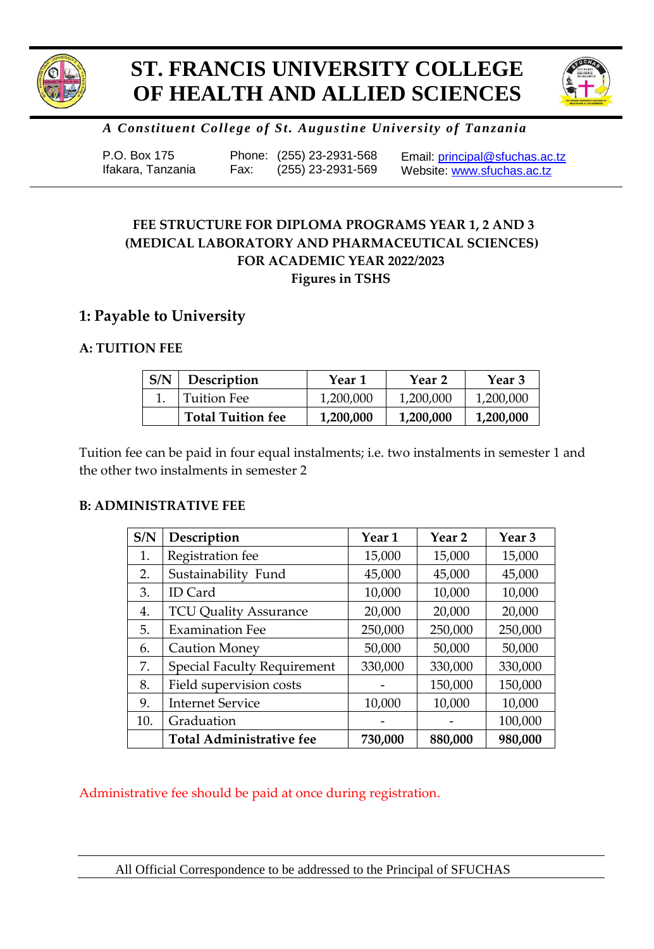

# **ST. FRANCIS UNIVERSITY COLLEGE OF HEALTH AND ALLIED SCIENCES**



# *A Constituent College of St. Augustine University of Tanzania*

| P.O. Box 175      |      | Phone: (255) 23-2931-568 | Email: principal@sfuchas.ac.tz |
|-------------------|------|--------------------------|--------------------------------|
| Ifakara, Tanzania | Fax: | (255) 23-2931-569        | Website: www.sfuchas.ac.tz     |

# **FOR ACADEMIC YEAR 2022/2023 Figures in TSHS FEE STRUCTURE FOR DIPLOMA PROGRAMS YEAR 1, 2 AND 3 (MEDICAL LABORATORY AND PHARMACEUTICAL SCIENCES)**

# **1: Payable to University**

### **A: TUITION FEE**

| S/N | Description              | Year 1    | Year 2    | Year 3    |
|-----|--------------------------|-----------|-----------|-----------|
|     | <b>Tuition Fee</b>       | 1,200,000 | 1,200,000 | 1,200,000 |
|     | <b>Total Tuition fee</b> | 1,200,000 | 1,200,000 | 1,200,000 |

Tuition fee can be paid in four equal instalments; i.e. two instalments in semester 1 and the other two instalments in semester 2

### **B: ADMINISTRATIVE FEE**

| S/N | Description                        | Year 1  | Year <sub>2</sub> | Year <sub>3</sub> |
|-----|------------------------------------|---------|-------------------|-------------------|
| 1.  | Registration fee                   | 15,000  | 15,000            | 15,000            |
| 2.  | Sustainability Fund                | 45,000  | 45,000            | 45,000            |
| 3.  | ID Card                            | 10,000  | 10,000            | 10,000            |
| 4.  | <b>TCU Quality Assurance</b>       | 20,000  | 20,000            | 20,000            |
| 5.  | <b>Examination Fee</b>             | 250,000 | 250,000           | 250,000           |
| 6.  | <b>Caution Money</b>               | 50,000  | 50,000            | 50,000            |
| 7.  | <b>Special Faculty Requirement</b> | 330,000 | 330,000           | 330,000           |
| 8.  | Field supervision costs            |         | 150,000           | 150,000           |
| 9.  | <b>Internet Service</b>            | 10,000  | 10,000            | 10,000            |
| 10. | Graduation                         |         |                   | 100,000           |
|     | <b>Total Administrative fee</b>    | 730,000 | 880,000           | 980,000           |

Administrative fee should be paid at once during registration.